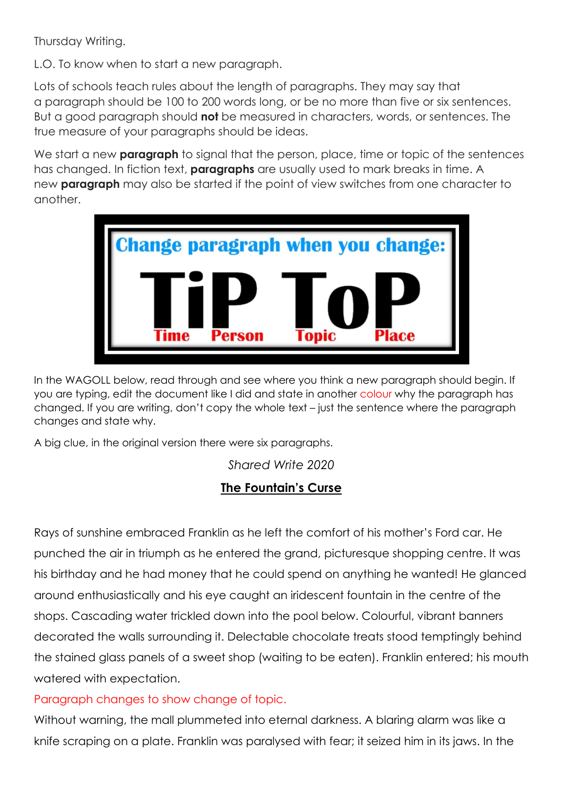Thursday Writing.

L.O. To know when to start a new paragraph.

Lots of schools teach rules about the length of paragraphs. They may say that a paragraph should be 100 to 200 words long, or be no more than five or six sentences. But a good paragraph should not be measured in characters, words, or sentences. The true measure of your paragraphs should be ideas.

We start a new **paragraph** to signal that the person, place, time or topic of the sentences has changed. In fiction text, **paragraphs** are usually used to mark breaks in time. A new **paragraph** may also be started if the point of view switches from one character to another.



In the WAGOLL below, read through and see where you think a new paragraph should begin. If you are typing, edit the document like I did and state in another colour why the paragraph has changed. If you are writing, don't copy the whole text – just the sentence where the paragraph changes and state why.

A big clue, in the original version there were six paragraphs.

Shared Write 2020

## The Fountain's Curse

Rays of sunshine embraced Franklin as he left the comfort of his mother's Ford car. He punched the air in triumph as he entered the grand, picturesque shopping centre. It was his birthday and he had money that he could spend on anything he wanted! He glanced around enthusiastically and his eye caught an iridescent fountain in the centre of the shops. Cascading water trickled down into the pool below. Colourful, vibrant banners decorated the walls surrounding it. Delectable chocolate treats stood temptingly behind the stained glass panels of a sweet shop (waiting to be eaten). Franklin entered; his mouth watered with expectation.

Paragraph changes to show change of topic.

Without warning, the mall plummeted into eternal darkness. A blaring alarm was like a knife scraping on a plate. Franklin was paralysed with fear; it seized him in its jaws. In the